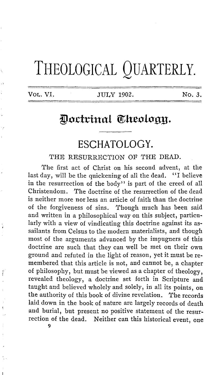# THEOLOGICAL QUARTERLY.

**VOL. VI.** JULY 1902. No. 3.

#### Doctrinal Theology.

## **ESCHATOLOGY.**

THE RESURRECTION OF THE DEAD.

The first act of Christ on his second advent, at the last day, will be the quickening of all the dead. "I believe in the resurrection of the body" is part of the creed of all Christendom. The doctrine of the resurrection of the dead is neither more nor less an article of faith than the doctrine of the forgiveness of sins. Though much has been said and written in a philosophical way on this subject, particularly with a view of vindicating this doctrine against its assailants from Celsus to the modern materialists, and though most of the arguments advanced by the impugners of this doctrine are such that they can well be met on their own ground and refuted in the light of reason, yet it must be remembered that this article is not, and cannot be, a chapter of philosophy, but must be viewed as a chapter of theology, revealed theology, a doctrine set forth in Scripture and taught and believed wholely and solely, in all its points, on the authority of this book of divine revelation. The records laid down in the book of nature are largely records of death and burial, but present no positive statement of the resurrection of the dead. Neither can this historical event, one

9

Ï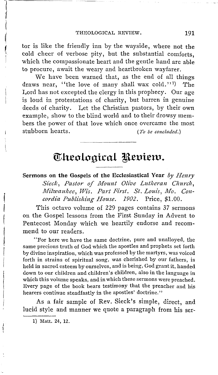tor is like the friendly inn by the wayside, where not the cold cheer of verbose pity, but the substantial comforts, which the compassionate heart and the gentle hand are able to procure, await the weary and heartbroken wayfarer.

We have been warned that, as the end of all things draws near, "the love of many shall wax cold."<sup>1</sup> ) The Lord has not excepted the clergy in this prophecy. Our age is loud in protestations of charity, but barren in genuine deeds of charity. Let the Christian pastors, by their own example, show to the blind world and to their drowsy members the power of that love which once overcame the most stubborn hearts. *(To be concluded.)* 

### **Theological Review.**

#### **Sermons on the Gospels of the Ecclesiastical Year** *by Henry*  Sieck, Pastor of Mount Olive Lutheran Church, *Milwaukee, Wis. Part First. St. Louis, Mo. Concordia Publishing House. 1902.* Price, \$1.00.

This octavo volume of 229 pages contains 37 sermons 011 the Gospel lessons from the First Sunday **in** Advent to Pentecost Monday which we heartily endorse and recommend to our readers.

"For here we have the same doctrine, pure and unalloyed, the same precious truth of God which the apostles and prophets set forth by divine inspiration, which was professed by the martyrs, was voiced forth in strains of spiritual song, was cherished by our fathers, is held in sacred esteem by ourselves, and is being, God grant it, handed down to our children and children's children, also in the language **in**  which this volume speaks, and in which these sermons were preached. Every page of the book bears testimony that the preacher and his hearers continue steadfastly in the apostles' doctrine."

As a fair sample of Rev. Sieck's simple, direct, and lucid style and manner we quote a paragraph from his ser-

1) Matt. 24, 12.

 $\begin{array}{c}\n\hline\n\end{array}$ 

i

i(